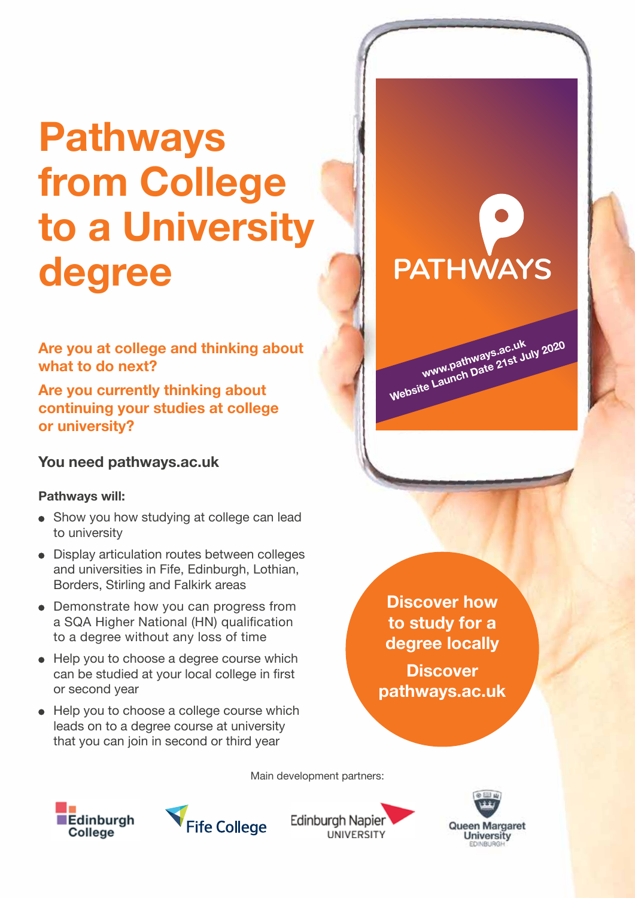## **Pathways from College to a University degree**

**Are you at college and thinking about what to do next?**

**Are you currently thinking about continuing your studies at college or university?**

**You need pathways.ac.uk**

## **Pathways will:**

- Show you how studying at college can lead to university
- Display articulation routes between colleges and universities in Fife, Edinburgh, Lothian, Borders, Stirling and Falkirk areas
- Demonstrate how you can progress from a SQA Higher National (HN) qualification to a degree without any loss of time
- Help you to choose a degree course which can be studied at your local college in first or second year
- Help you to choose a college course which leads on to a degree course at university that you can join in second or third year

## **PATHWAYS**

**www.pathways.ac.uk Website Launch Date 21st July 2020**

**Discover how to study for a degree locally**

**Discover pathways.ac.uk**

Main development partners:





**Edinburgh Napier** UNIVERSITY